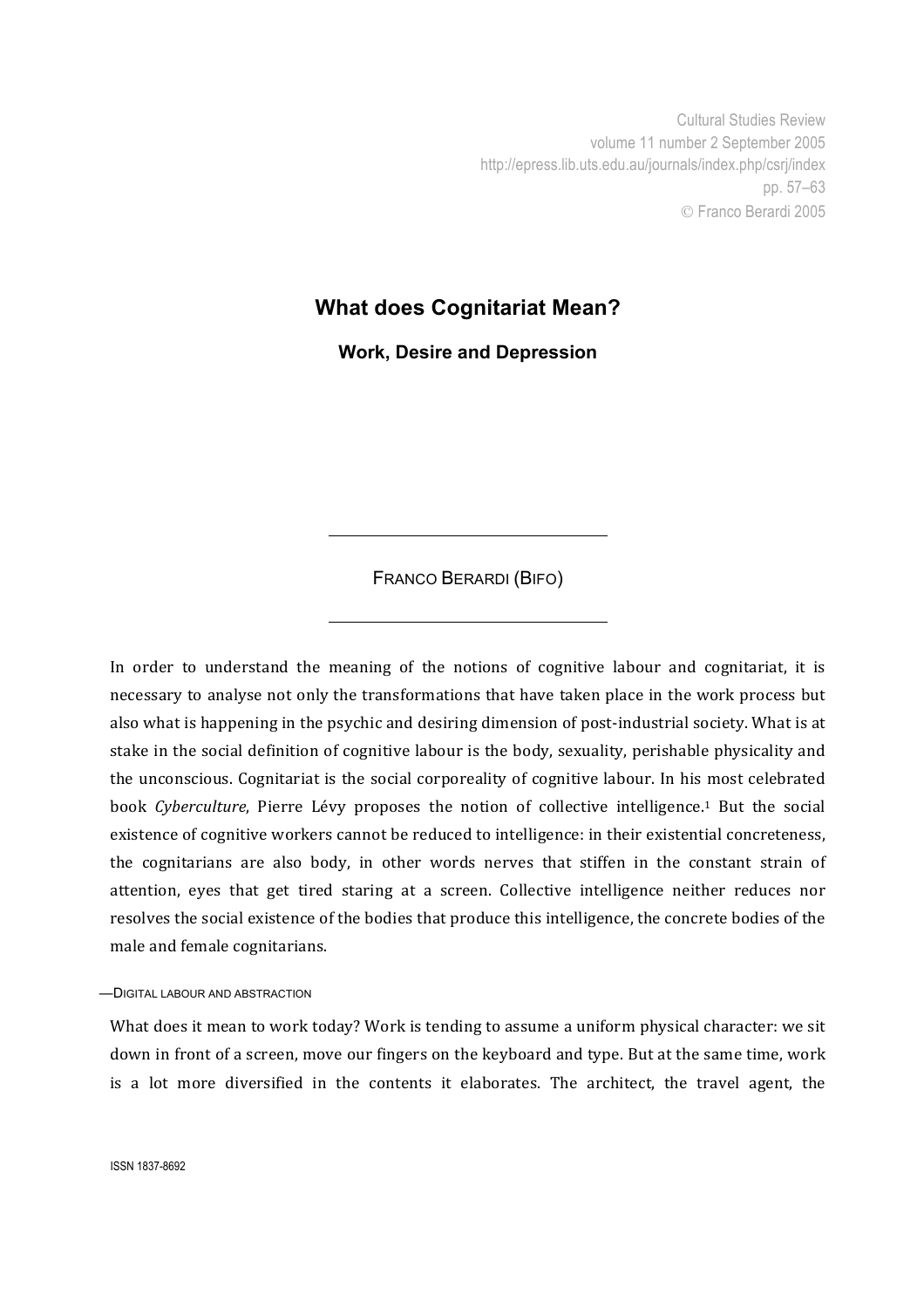Cultural Studies Review volume 11 number 2 September 2005 http://epress.lib.uts.edu.au/journals/index.php/csrj/index pp. 57–63 Franco Berardi 2005

## **What does Cognitariat Mean?**

**Work, Desire and Depression**

FRANCO BERARDI (BIFO)

In order to understand the meaning of the notions of cognitive labour and cognitariat, it is necessary to analyse not only the transformations that have taken place in the work process but also what is happening in the psychic and desiring dimension of post-industrial society. What is at stake in the social definition of cognitive labour is the body, sexuality, perishable physicality and the unconscious. Cognitariat is the social corporeality of cognitive labour. In his most celebrated book *Cyberculture*, Pierre Lévy proposes the notion of collective intelligence.<sup>1</sup> But the social existence of cognitive workers cannot be reduced to intelligence: in their existential concreteness, the cognitarians are also body, in other words nerves that stiffen in the constant strain of attention, eyes that get tired staring at a screen. Collective intelligence neither reduces nor resolves the social existence of the bodies that produce this intelligence, the concrete bodies of the male and female cognitarians.

## —DIGITAL LABOUR AND ABSTRACTION

What does it mean to work today? Work is tending to assume a uniform physical character: we sit down in front of a screen, move our fingers on the keyboard and type. But at the same time, work is a lot more diversified in the contents it elaborates. The architect, the travel agent, the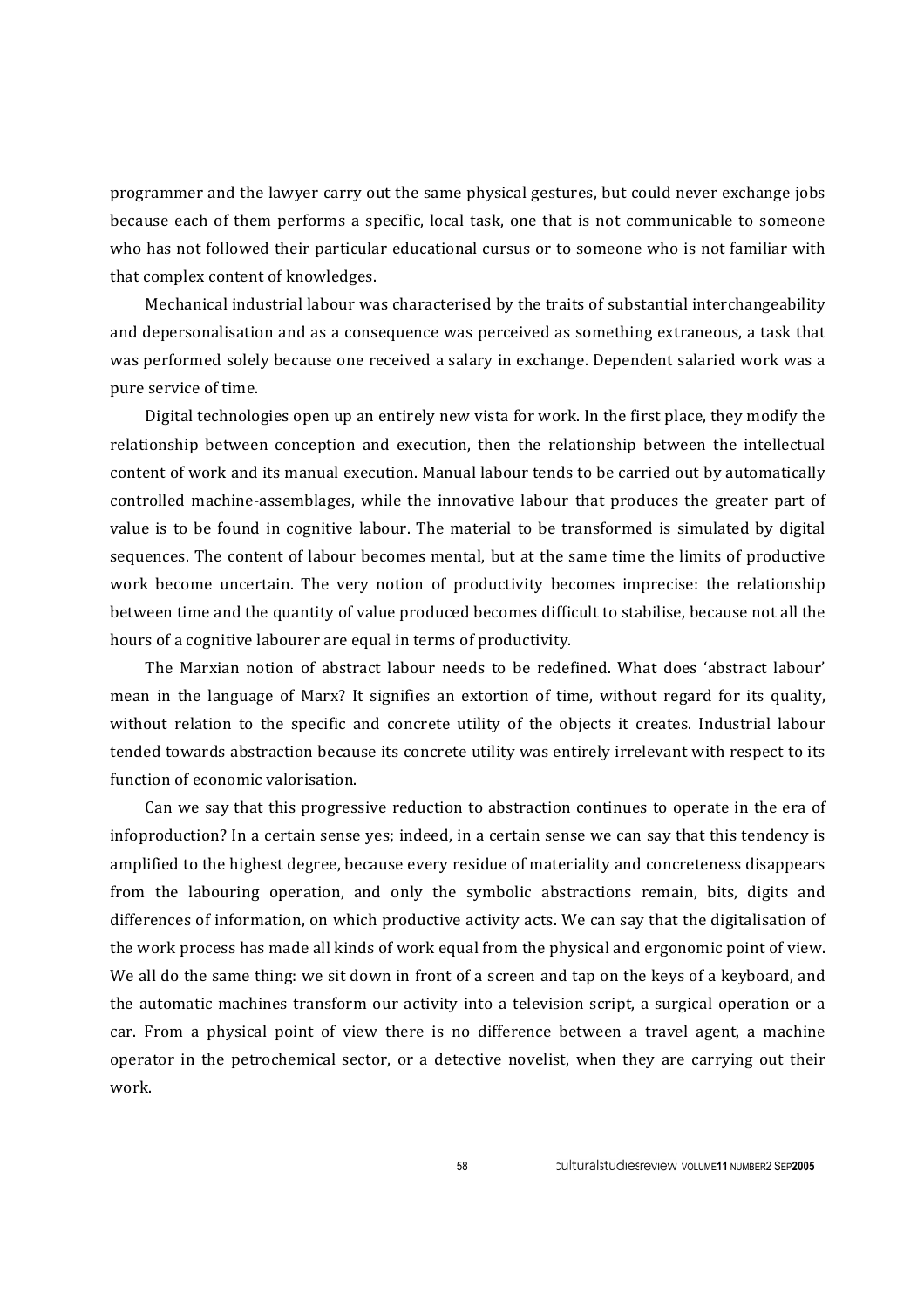programmer and the lawyer carry out the same physical gestures, but could never exchange jobs because each of them performs a specific, local task, one that is not communicable to someone who has not followed their particular educational cursus or to someone who is not familiar with that complex content of knowledges.

Mechanical industrial labour was characterised by the traits of substantial interchangeability and depersonalisation and as a consequence was perceived as something extraneous, a task that was performed solely because one received a salary in exchange. Dependent salaried work was a pure service of time.

Digital technologies open up an entirely new vista for work. In the first place, they modify the relationship between conception and execution, then the relationship between the intellectual content of work and its manual execution. Manual labour tends to be carried out by automatically controlled machine-assemblages, while the innovative labour that produces the greater part of value is to be found in cognitive labour. The material to be transformed is simulated by digital sequences. The content of labour becomes mental, but at the same time the limits of productive work become uncertain. The very notion of productivity becomes imprecise: the relationship between time and the quantity of value produced becomes difficult to stabilise, because not all the hours of a cognitive labourer are equal in terms of productivity.

The Marxian notion of abstract labour needs to be redefined. What does 'abstract labour' mean in the language of Marx? It signifies an extortion of time, without regard for its quality, without relation to the specific and concrete utility of the objects it creates. Industrial labour tended towards abstraction because its concrete utility was entirely irrelevant with respect to its function of economic valorisation.

Can we say that this progressive reduction to abstraction continues to operate in the era of infoproduction? In a certain sense yes; indeed, in a certain sense we can say that this tendency is amplified to the highest degree, because every residue of materiality and concreteness disappears from the labouring operation, and only the symbolic abstractions remain, bits, digits and differences of information, on which productive activity acts. We can say that the digitalisation of the work process has made all kinds of work equal from the physical and ergonomic point of view. We all do the same thing: we sit down in front of a screen and tap on the keys of a keyboard, and the automatic machines transform our activity into a television script, a surgical operation or a car. From a physical point of view there is no difference between a travel agent, a machine operator in the petrochemical sector, or a detective novelist, when they are carrying out their work.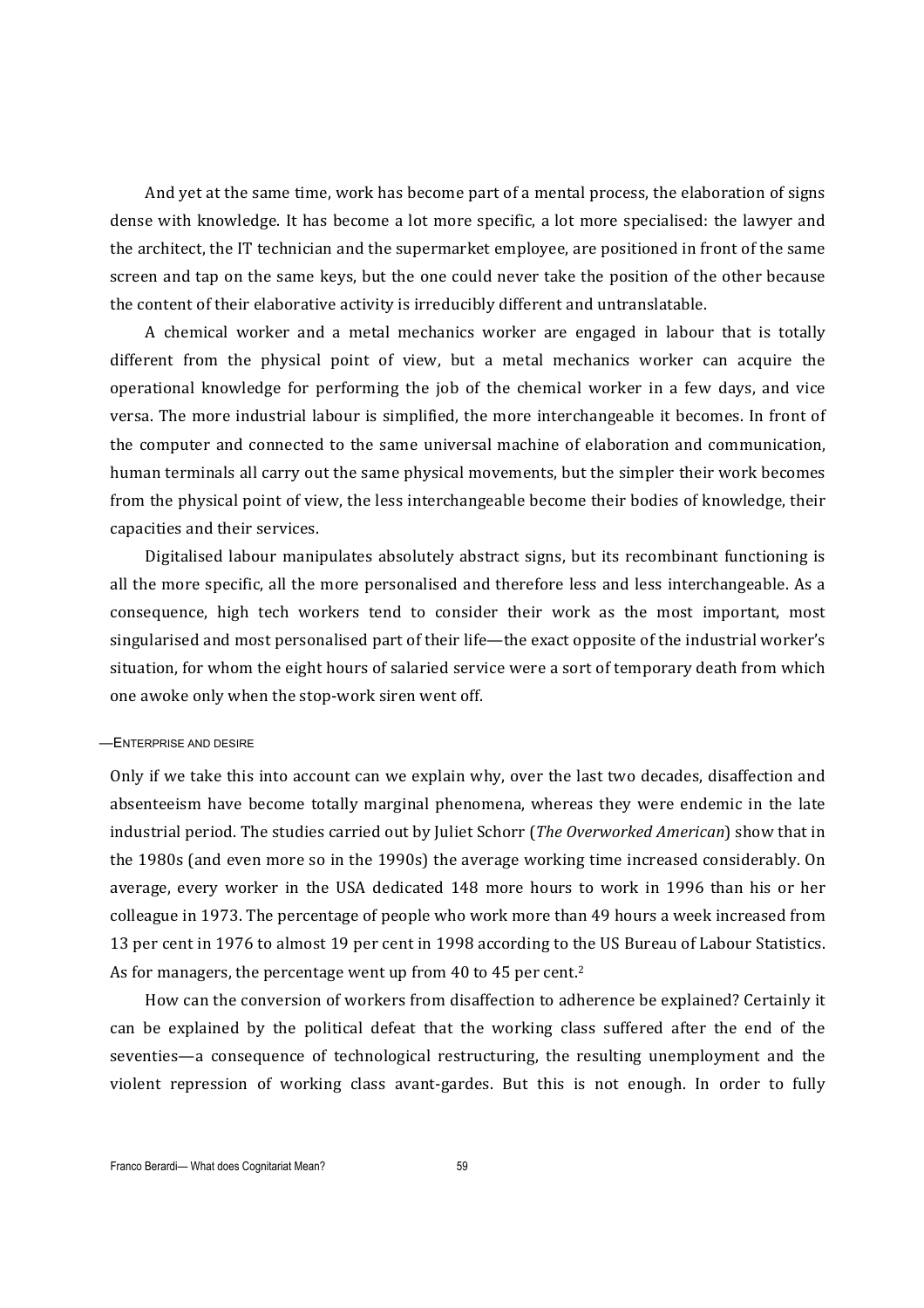And yet at the same time, work has become part of a mental process, the elaboration of signs dense with knowledge. It has become a lot more specific, a lot more specialised: the lawyer and the architect, the IT technician and the supermarket employee, are positioned in front of the same screen and tap on the same keys, but the one could never take the position of the other because the content of their elaborative activity is irreducibly different and untranslatable.

A chemical worker and a metal mechanics worker are engaged in labour that is totally different from the physical point of view, but a metal mechanics worker can acquire the operational knowledge for performing the job of the chemical worker in a few days, and vice versa. The more industrial labour is simplified, the more interchangeable it becomes. In front of the computer and connected to the same universal machine of elaboration and communication. human terminals all carry out the same physical movements, but the simpler their work becomes from the physical point of view, the less interchangeable become their bodies of knowledge, their capacities and their services.

Digitalised labour manipulates absolutely abstract signs, but its recombinant functioning is all the more specific, all the more personalised and therefore less and less interchangeable. As a consequence, high tech workers tend to consider their work as the most important, most singularised and most personalised part of their life—the exact opposite of the industrial worker's situation, for whom the eight hours of salaried service were a sort of temporary death from which one awoke only when the stop-work siren went off.

## —ENTERPRISE AND DESIRE

Only if we take this into account can we explain why, over the last two decades, disaffection and absenteeism have become totally marginal phenomena, whereas they were endemic in the late industrial period. The studies carried out by Juliet Schorr (*The Overworked American*) show that in the 1980s (and even more so in the 1990s) the average working time increased considerably. On average, every worker in the USA dedicated 148 more hours to work in 1996 than his or her colleague in 1973. The percentage of people who work more than 49 hours a week increased from 13 per cent in 1976 to almost 19 per cent in 1998 according to the US Bureau of Labour Statistics. As for managers, the percentage went up from 40 to 45 per cent.<sup>2</sup>

How can the conversion of workers from disaffection to adherence be explained? Certainly it can be explained by the political defeat that the working class suffered after the end of the seventies—a consequence of technological restructuring, the resulting unemployment and the violent repression of working class avant-gardes. But this is not enough. In order to fully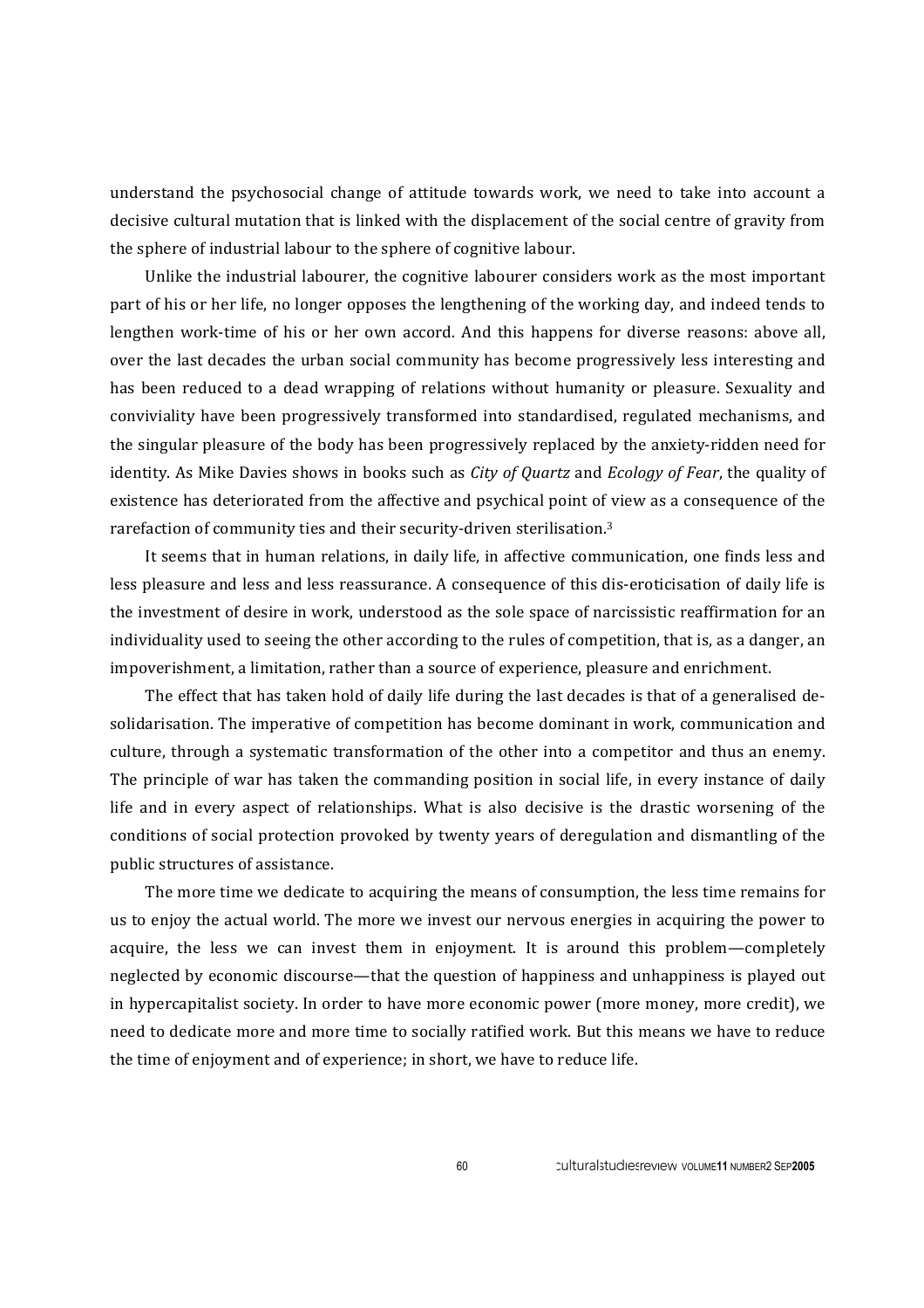understand the psychosocial change of attitude towards work, we need to take into account a decisive cultural mutation that is linked with the displacement of the social centre of gravity from the sphere of industrial labour to the sphere of cognitive labour.

Unlike the industrial labourer, the cognitive labourer considers work as the most important part of his or her life, no longer opposes the lengthening of the working day, and indeed tends to lengthen work-time of his or her own accord. And this happens for diverse reasons: above all, over the last decades the urban social community has become progressively less interesting and has been reduced to a dead wrapping of relations without humanity or pleasure. Sexuality and conviviality have been progressively transformed into standardised, regulated mechanisms, and the singular pleasure of the body has been progressively replaced by the anxiety-ridden need for identity. As Mike Davies shows in books such as *City of Quartz* and *Ecology of Fear*, the quality of existence has deteriorated from the affective and psychical point of view as a consequence of the rarefaction of community ties and their security-driven sterilisation.<sup>3</sup>

It seems that in human relations, in daily life, in affective communication, one finds less and less pleasure and less and less reassurance. A consequence of this dis-eroticisation of daily life is the investment of desire in work, understood as the sole space of narcissistic reaffirmation for an individuality used to seeing the other according to the rules of competition, that is, as a danger, an impoverishment, a limitation, rather than a source of experience, pleasure and enrichment.

The effect that has taken hold of daily life during the last decades is that of a generalised desolidarisation. The imperative of competition has become dominant in work, communication and culture, through a systematic transformation of the other into a competitor and thus an enemy. The principle of war has taken the commanding position in social life, in every instance of daily life and in every aspect of relationships. What is also decisive is the drastic worsening of the conditions of social protection provoked by twenty years of deregulation and dismantling of the public structures of assistance.

The more time we dedicate to acquiring the means of consumption, the less time remains for us to enjoy the actual world. The more we invest our nervous energies in acquiring the power to acquire, the less we can invest them in enjoyment. It is around this problem—completely neglected by economic discourse—that the question of happiness and unhappiness is played out in hypercapitalist society. In order to have more economic power (more money, more credit), we need to dedicate more and more time to socially ratified work. But this means we have to reduce the time of enjoyment and of experience; in short, we have to reduce life.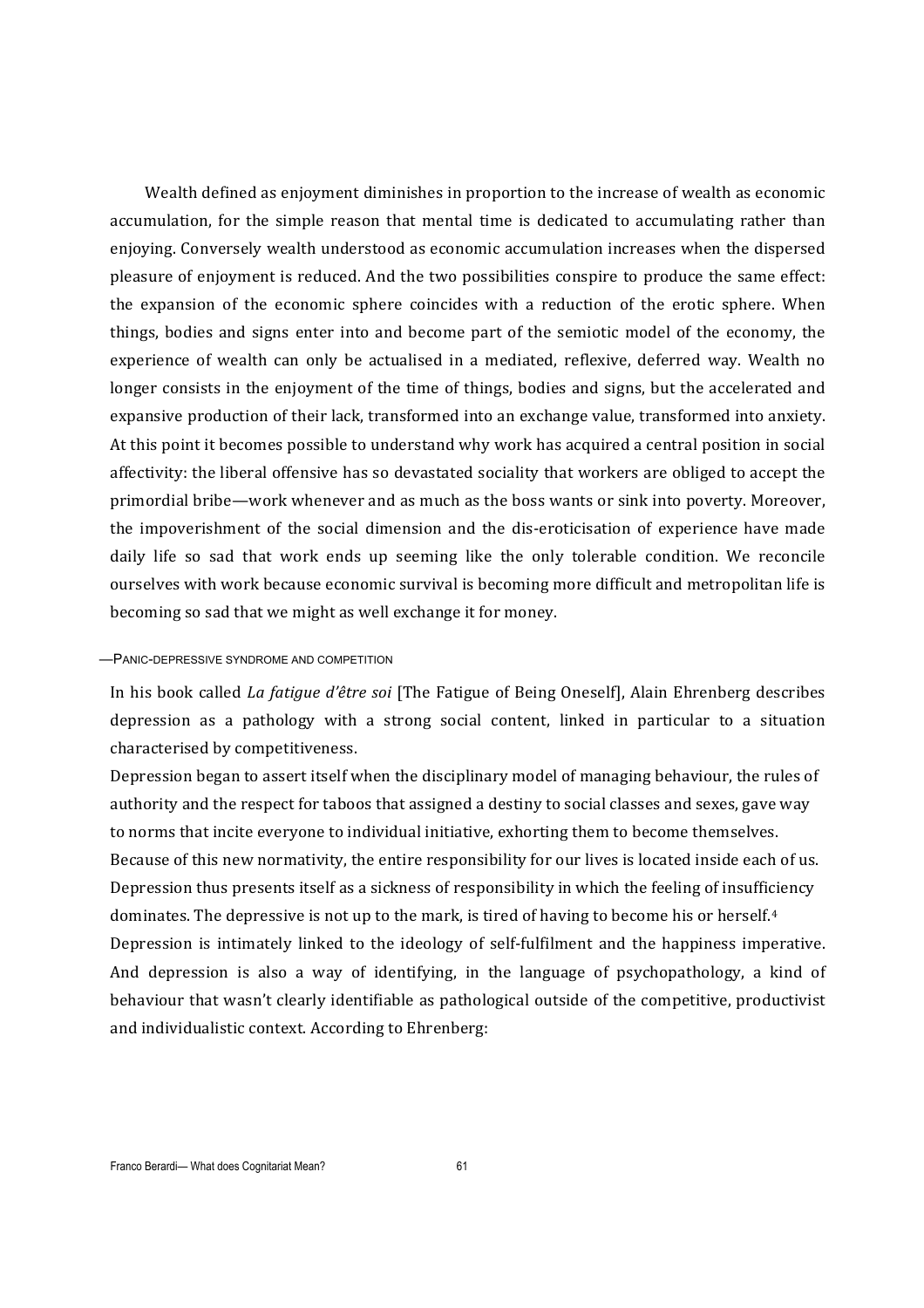Wealth defined as enjoyment diminishes in proportion to the increase of wealth as economic accumulation, for the simple reason that mental time is dedicated to accumulating rather than enjoying. Conversely wealth understood as economic accumulation increases when the dispersed pleasure of enjoyment is reduced. And the two possibilities conspire to produce the same effect: the expansion of the economic sphere coincides with a reduction of the erotic sphere. When things, bodies and signs enter into and become part of the semiotic model of the economy, the experience of wealth can only be actualised in a mediated, reflexive, deferred way. Wealth no longer consists in the enjoyment of the time of things, bodies and signs, but the accelerated and expansive production of their lack, transformed into an exchange value, transformed into anxiety. At this point it becomes possible to understand why work has acquired a central position in social affectivity: the liberal offensive has so devastated sociality that workers are obliged to accept the primordial bribe—work whenever and as much as the boss wants or sink into poverty. Moreover, the impoverishment of the social dimension and the dis-eroticisation of experience have made daily life so sad that work ends up seeming like the only tolerable condition. We reconcile ourselves with work because economic survival is becoming more difficult and metropolitan life is becoming so sad that we might as well exchange it for money.

## -PANIC-DEPRESSIVE SYNDROME AND COMPETITION

In his book called *La fatique d'être soi* [The Fatigue of Being Oneself], Alain Ehrenberg describes depression as a pathology with a strong social content, linked in particular to a situation characterised by competitiveness.

Depression began to assert itself when the disciplinary model of managing behaviour, the rules of authority and the respect for taboos that assigned a destiny to social classes and sexes, gave way to norms that incite everyone to individual initiative, exhorting them to become themselves. Because of this new normativity, the entire responsibility for our lives is located inside each of us. Depression thus presents itself as a sickness of responsibility in which the feeling of insufficiency dominates. The depressive is not up to the mark, is tired of having to become his or herself.<sup>4</sup> Depression is intimately linked to the ideology of self-fulfilment and the happiness imperative. And depression is also a way of identifying, in the language of psychopathology, a kind of behaviour that wasn't clearly identifiable as pathological outside of the competitive, productivist and individualistic context. According to Ehrenberg: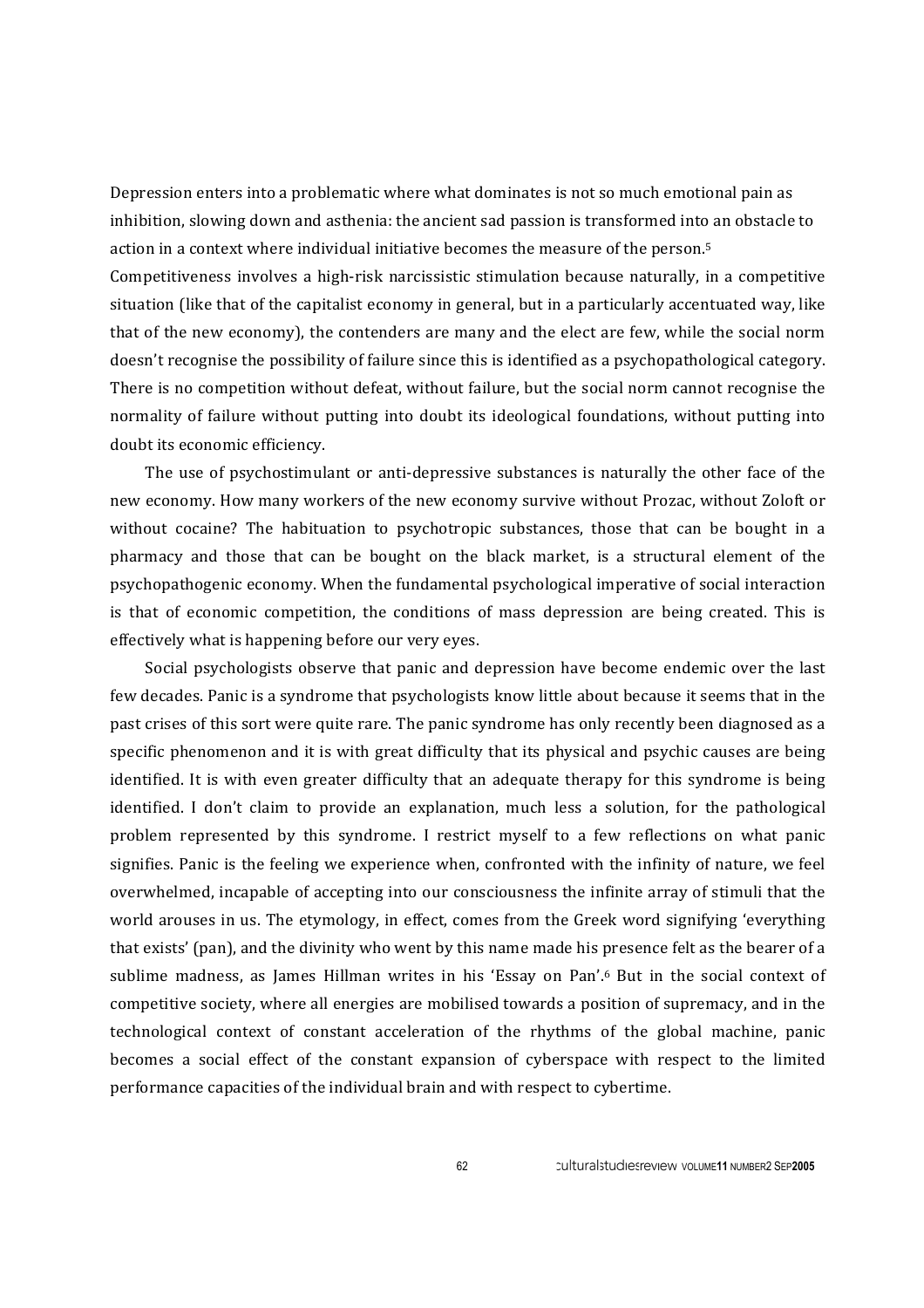Depression enters into a problematic where what dominates is not so much emotional pain as inhibition, slowing down and asthenia: the ancient sad passion is transformed into an obstacle to action in a context where individual initiative becomes the measure of the person.<sup>5</sup> Competitiveness involves a high-risk narcissistic stimulation because naturally, in a competitive situation (like that of the capitalist economy in general, but in a particularly accentuated way, like that of the new economy), the contenders are many and the elect are few, while the social norm doesn't recognise the possibility of failure since this is identified as a psychopathological category. There is no competition without defeat, without failure, but the social norm cannot recognise the normality of failure without putting into doubt its ideological foundations, without putting into doubt its economic efficiency.

The use of psychostimulant or anti-depressive substances is naturally the other face of the new economy. How many workers of the new economy survive without Prozac, without Zoloft or without cocaine? The habituation to psychotropic substances, those that can be bought in a pharmacy and those that can be bought on the black market, is a structural element of the psychopathogenic economy. When the fundamental psychological imperative of social interaction is that of economic competition, the conditions of mass depression are being created. This is effectively what is happening before our very eyes.

Social psychologists observe that panic and depression have become endemic over the last few decades. Panic is a syndrome that psychologists know little about because it seems that in the past crises of this sort were quite rare. The panic syndrome has only recently been diagnosed as a specific phenomenon and it is with great difficulty that its physical and psychic causes are being identified. It is with even greater difficulty that an adequate therapy for this syndrome is being identified. I don't claim to provide an explanation, much less a solution, for the pathological problem represented by this syndrome. I restrict myself to a few reflections on what panic signifies. Panic is the feeling we experience when, confronted with the infinity of nature, we feel overwhelmed, incapable of accepting into our consciousness the infinite array of stimuli that the world arouses in us. The etymology, in effect, comes from the Greek word signifying 'everything that exists' (pan), and the divinity who went by this name made his presence felt as the bearer of a sublime madness, as James Hillman writes in his 'Essay on Pan'.<sup>6</sup> But in the social context of competitive society, where all energies are mobilised towards a position of supremacy, and in the technological context of constant acceleration of the rhythms of the global machine, panic becomes a social effect of the constant expansion of cyberspace with respect to the limited performance capacities of the individual brain and with respect to cybertime.